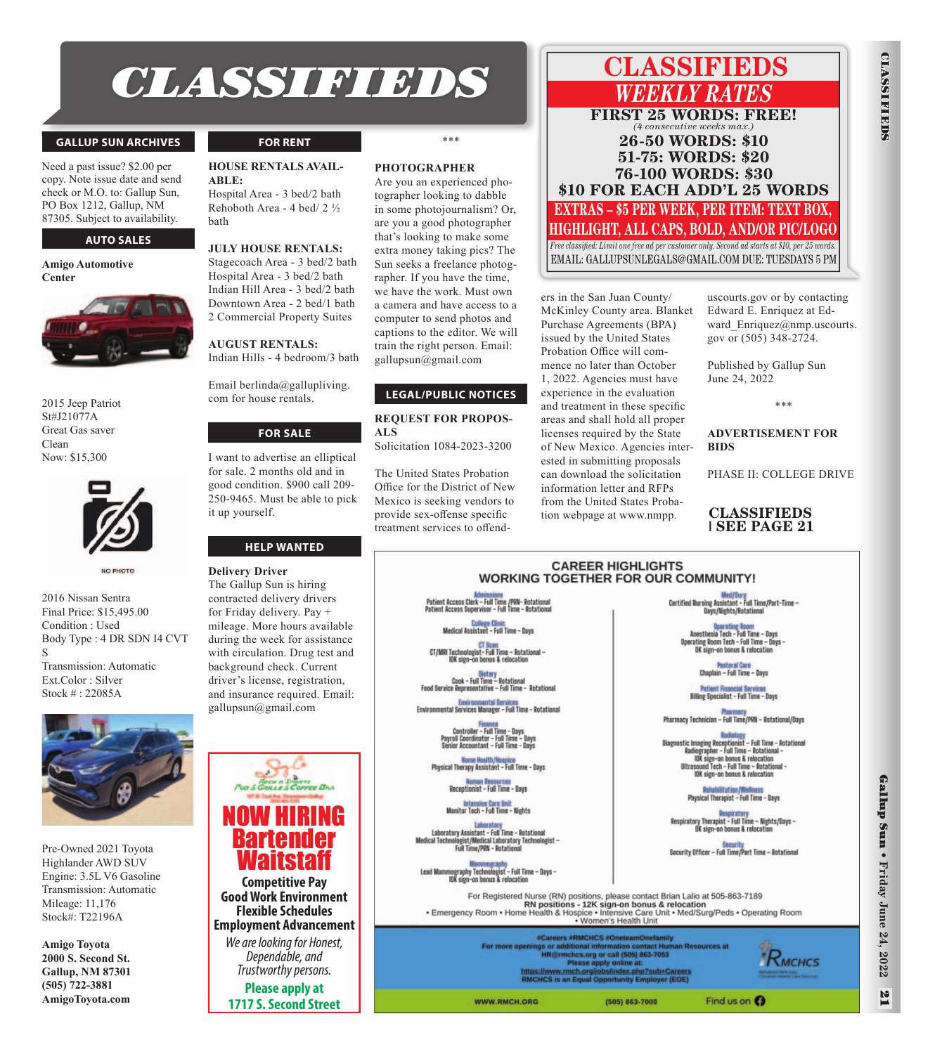# *CLASSIFIEDS* **CLASSIFIEDS**

### **GALLUP SUN ARCHIVES**

Need a past issue? \$2.00 per copy. Note issue date and send check or M.O. to: Gallup Sun, PO Box 1212, Gallup, NM 87305. Subject to availability.

### **AUTO SALES**

**Amigo Automotive Center**



2015 Jeep Patriot St#J21077A Great Gas saver Clean Now: \$15,300



NO PHOTO

2016 Nissan Sentra Final Price: \$15,495.00 Condition : Used Body Type : 4 DR SDN I4 CVT S Transmission: Automatic Ext.Color : Silver Stock # : 22085A



Pre-Owned 2021 Toyota Highlander AWD SUV Engine: 3.5L V6 Gasoline Transmission: Automatic Mileage: 11,176 Stock#: T22196A

**Amigo Toyota 2000 S. Second St. Gallup, NM 87301 (505) 722-3881 AmigoToyota.com**

### **FOR RENT**

### **HOUSE RENTALS AVAIL-ABLE:**

Hospital Area - 3 bed/2 bath Rehoboth Area - 4 bed/ 2 ½ bath

### **JULY HOUSE RENTALS:**

Stagecoach Area - 3 bed/2 bath Hospital Area - 3 bed/2 bath Indian Hill Area - 3 bed/2 bath Downtown Area - 2 bed/1 bath 2 Commercial Property Suites

### **AUGUST RENTALS:**

Email berlinda@gallupliving. com for house rentals.

Indian Hills - 4 bedroom/3 bath

### **FOR SALE**

I want to advertise an elliptical for sale. 2 months old and in good condition. \$900 call 209- 250-9465. Must be able to pick it up yourself.

### **HELP WANTED**

**Delivery Driver** The Gallup Sun is hiring contracted delivery drivers for Friday delivery. Pay + mileage. More hours available during the week for assistance with circulation. Drug test and background check. Current driver's license, registration, and insurance required. Email: gallupsun@gmail.com

NOW HIRING

**Bartender** Waitstaff

**Competitive Pay Good Work Environment Flexible Schedules Employment Advancement**  We are looking for Honest, Dependable, and Trustworthy persons. **Please apply at 1717 S. Second Street**

### **PHOTOGRAPHER**

Are you an experienced photographer looking to dabble in some photojournalism? Or, are you a good photographer that's looking to make some extra money taking pics? The Sun seeks a freelance photographer. If you have the time, we have the work. Must own a camera and have access to a computer to send photos and captions to the editor. We will train the right person. Email: gallupsun@gmail.com

### **LEGAL/PUBLIC NOTICES**

**REQUEST FOR PROPOS-ALS** Solicitation 1084-2023-3200

The United States Probation Office for the District of New Mexico is seeking vendors to provide sex-offense specific treatment services to offend-

### *WEEKLY RATES*  **FIRST 25 WORDS: FREE!** *(4 consecutive weeks max.)* **26-50 WORDS: \$10 51-75: WORDS: \$20 76-100 WORDS: \$30 \$10 FOR EACH ADD'L 25 WORDS EXTRAS – \$5 PER WEEK, PER ITEM: TEXT BOX, HIGHLIGHT, ALL CAPS, BOLD, AND/OR PIC/LOGO** *Free classified: Limit one free ad per customer only. Second ad starts at \$10, per 25 words.*

EMAIL: GALLUPSUNLEGALS@GMAIL.COM DUE: TUESDAYS 5 PM

ers in the San Juan County/ McKinley County area. Blanket Purchase Agreements (BPA) issued by the United States Probation Office will commence no later than October 1, 2022. Agencies must have experience in the evaluation and treatment in these specific areas and shall hold all proper licenses required by the State of New Mexico. Agencies interested in submitting proposals can download the solicitation information letter and RFPs from the United States Probation webpage at www.nmpp.

uscourts.gov or by contacting Edward E. Enriquez at Edward\_Enriquez@nmp.uscourts. gov or (505) 348-2724.

**CLASSIFIEDS**

**CLASSLFIDS** 

Published by Gallup Sun June 24, 2022

\*\*\*

### **ADVERTISEMENT FOR BIDS**

PHASE II: COLLEGE DRIVE

### **CLASSIFIEDS | SEE PAGE 21**

Med/Surg<br>- Certified Nursing Assistant - Full Time/Part-Time /Nights/Rotati Anesthesia Tech - Full Time - Days rating Room Tech - Full Time - Days

<mark>Pastoral Care</mark><br>in – Full Time – Bays

**Billing Specialist - Full Time - Days** 

Pharmacy Technician - Full Time/PRN - Rotational/Days

Ultrasound Tech - Full Time - Rotation<br>IOK sign-on bonus & relocation

Respiratory Therapist - Full Time - Nights/Days -<br>OK sign-on bonus & relocation

Security<br>Security Officer – Full Time/Part Time – Rotational

Find us on  $\boldsymbol{\Omega}$ 

**Doteshilitation N** Physical Therapist - Full Time - Days

**Endielogy**<br>stic Imaging Receptionist – Full Time – Rotational<br>Radiographer – Full Time – Rotational<br>IOK sign-on bonus & relocation<br>Ultrasound Tech – Full Time – Rotational<br>Ultrasound Tech – Full Time – Rotational

### **CAREER HIGHLIGHTS WORKING TOGETHER FOR OUR COMMUNITY!**

<mark>.CT Scan</mark><br>ist- Full Time – Rotational<br>in bonus & relocation

Gi<mark>etary</mark><br>Cook - Full Time - Rotational<br>e Representative - Full Time - Rotatio

Environmental Services<br>Environmental Services Manager – Full Time – Rotational

Finance<br>Controller - Full Time - Days<br>Payroll Coordinator - Full Time - Days<br>Senior Accountant - Full Time - Days

Home Health/Hospice<br>Physical Therapy Assistant - Full Time - Days

Monitor Tech - Full Time - Nights

Laboratory Assistant - Full Time - Rotational liogist/Medical Laboratory Tech<br>Full Time/PRN - Rotational

**Mammography<br>mography Technologist - Full Time – Days<br>10K sign-on bonus & relocation** 

For Registered Nurse (RN) positions, please contact Brian Lalio at 505-863-7189<br>RN positions - 12K sign-on bonus & relocation<br>Emergency Room • Home Health & Hospice • Intensive Care Unit • Med/Surg/Peds • Operating Room<br>Wo

rs #RMCHCS #On efamily<br>ict Hum s or additional information contact Hun<br>HR@rmchcs.org or call (505) 863-7053<br>Please apply online at:<br>Massacraphy online at: **In Resources at** lex.php?sub+Careers<br>nity Employer (EOE) https://www.rmch.org/jobs<br>RMCHCS is an Equal Opp

(505) 863-7000

WWW.RMCH.ORG

 $R$ <sub>MCHCS</sub>

 $\mathbf{z}$ 

\*\*\*